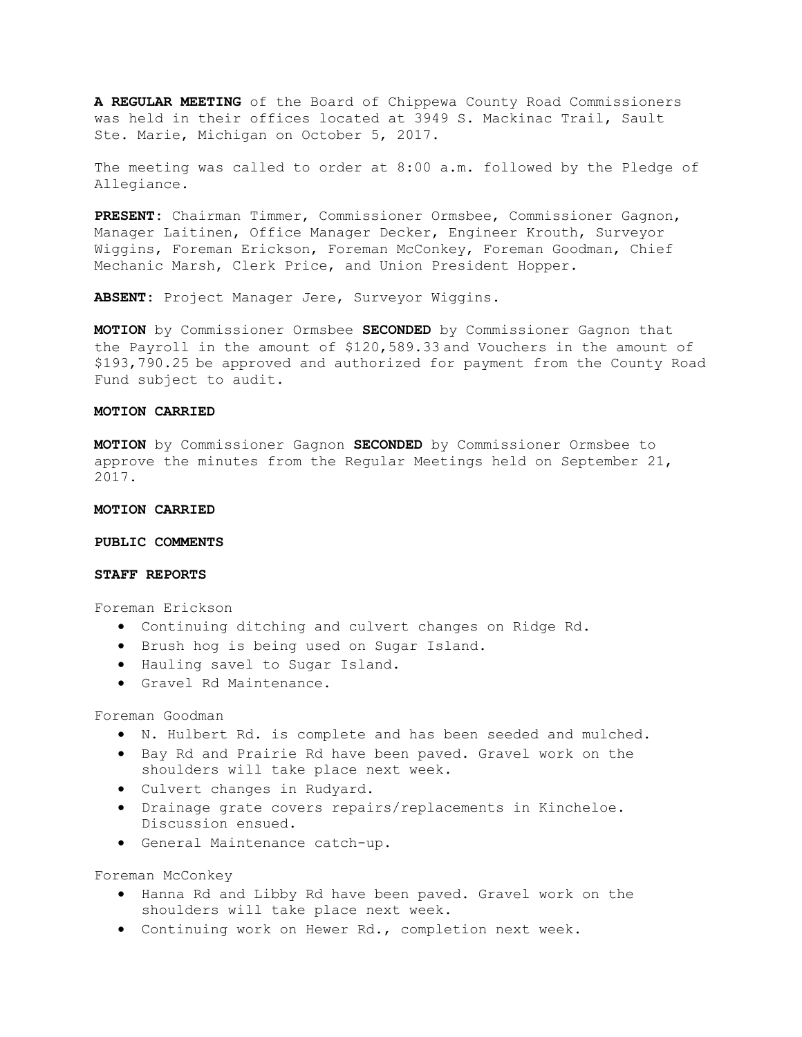**A REGULAR MEETING** of the Board of Chippewa County Road Commissioners was held in their offices located at 3949 S. Mackinac Trail, Sault Ste. Marie, Michigan on October 5, 2017.

The meeting was called to order at 8:00 a.m. followed by the Pledge of Allegiance.

**PRESENT:** Chairman Timmer, Commissioner Ormsbee, Commissioner Gagnon, Manager Laitinen, Office Manager Decker, Engineer Krouth, Surveyor Wiggins, Foreman Erickson, Foreman McConkey, Foreman Goodman, Chief Mechanic Marsh, Clerk Price, and Union President Hopper.

**ABSENT:** Project Manager Jere, Surveyor Wiggins.

**MOTION** by Commissioner Ormsbee **SECONDED** by Commissioner Gagnon that the Payroll in the amount of \$120,589.33 and Vouchers in the amount of \$193,790.25 be approved and authorized for payment from the County Road Fund subject to audit.

# **MOTION CARRIED**

**MOTION** by Commissioner Gagnon **SECONDED** by Commissioner Ormsbee to approve the minutes from the Regular Meetings held on September 21, 2017.

### **MOTION CARRIED**

#### **PUBLIC COMMENTS**

# **STAFF REPORTS**

Foreman Erickson

- Continuing ditching and culvert changes on Ridge Rd.
- Brush hog is being used on Sugar Island.
- Hauling savel to Sugar Island.
- Gravel Rd Maintenance.

Foreman Goodman

- N. Hulbert Rd. is complete and has been seeded and mulched.
- Bay Rd and Prairie Rd have been paved. Gravel work on the shoulders will take place next week.
- Culvert changes in Rudyard.
- Drainage grate covers repairs/replacements in Kincheloe. Discussion ensued.
- General Maintenance catch-up.

Foreman McConkey

- Hanna Rd and Libby Rd have been paved. Gravel work on the shoulders will take place next week.
- Continuing work on Hewer Rd., completion next week.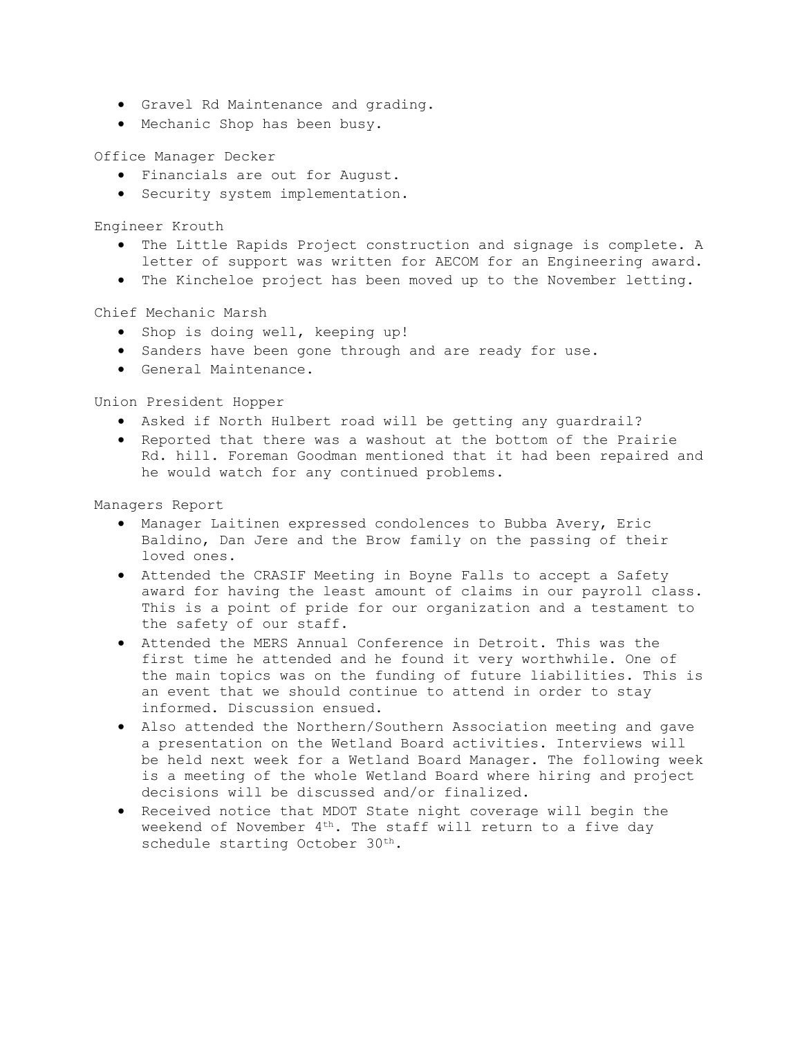- Gravel Rd Maintenance and grading.
- Mechanic Shop has been busy.

Office Manager Decker

- Financials are out for August.
- Security system implementation.

Engineer Krouth

- The Little Rapids Project construction and signage is complete. A letter of support was written for AECOM for an Engineering award.
- The Kincheloe project has been moved up to the November letting.

Chief Mechanic Marsh

- Shop is doing well, keeping up!
- Sanders have been gone through and are ready for use.
- General Maintenance.

Union President Hopper

- Asked if North Hulbert road will be getting any guardrail?
- Reported that there was a washout at the bottom of the Prairie Rd. hill. Foreman Goodman mentioned that it had been repaired and he would watch for any continued problems.

Managers Report

- Manager Laitinen expressed condolences to Bubba Avery, Eric Baldino, Dan Jere and the Brow family on the passing of their loved ones.
- Attended the CRASIF Meeting in Boyne Falls to accept a Safety award for having the least amount of claims in our payroll class. This is a point of pride for our organization and a testament to the safety of our staff.
- Attended the MERS Annual Conference in Detroit. This was the first time he attended and he found it very worthwhile. One of the main topics was on the funding of future liabilities. This is an event that we should continue to attend in order to stay informed. Discussion ensued.
- Also attended the Northern/Southern Association meeting and gave a presentation on the Wetland Board activities. Interviews will be held next week for a Wetland Board Manager. The following week is a meeting of the whole Wetland Board where hiring and project decisions will be discussed and/or finalized.
- Received notice that MDOT State night coverage will begin the weekend of November  $4<sup>th</sup>$ . The staff will return to a five day schedule starting October 30<sup>th</sup>.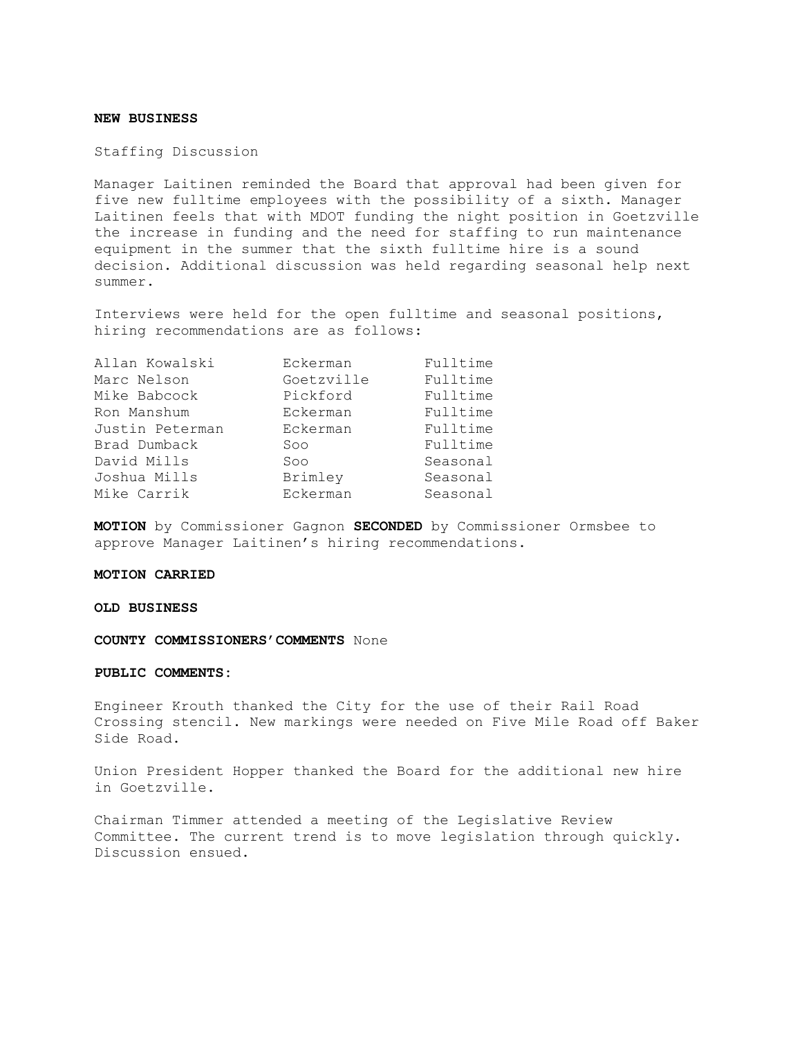# **NEW BUSINESS**

Staffing Discussion

Manager Laitinen reminded the Board that approval had been given for five new fulltime employees with the possibility of a sixth. Manager Laitinen feels that with MDOT funding the night position in Goetzville the increase in funding and the need for staffing to run maintenance equipment in the summer that the sixth fulltime hire is a sound decision. Additional discussion was held regarding seasonal help next summer.

Interviews were held for the open fulltime and seasonal positions, hiring recommendations are as follows:

| Allan Kowalski  | Eckerman   | Fulltime |
|-----------------|------------|----------|
| Marc Nelson     | Goetzville | Fulltime |
| Mike Babcock    | Pickford   | Fulltime |
| Ron Manshum     | Eckerman   | Fulltime |
| Justin Peterman | Eckerman   | Fulltime |
| Brad Dumback    | Soo        | Fulltime |
| David Mills     | Soo        | Seasonal |
| Joshua Mills    | Brimley    | Seasonal |
| Mike Carrik     | Eckerman   | Seasonal |
|                 |            |          |

**MOTION** by Commissioner Gagnon **SECONDED** by Commissioner Ormsbee to approve Manager Laitinen's hiring recommendations.

### **MOTION CARRIED**

### **OLD BUSINESS**

**COUNTY COMMISSIONERS'COMMENTS** None

# **PUBLIC COMMENTS:**

Engineer Krouth thanked the City for the use of their Rail Road Crossing stencil. New markings were needed on Five Mile Road off Baker Side Road.

Union President Hopper thanked the Board for the additional new hire in Goetzville.

Chairman Timmer attended a meeting of the Legislative Review Committee. The current trend is to move legislation through quickly. Discussion ensued.